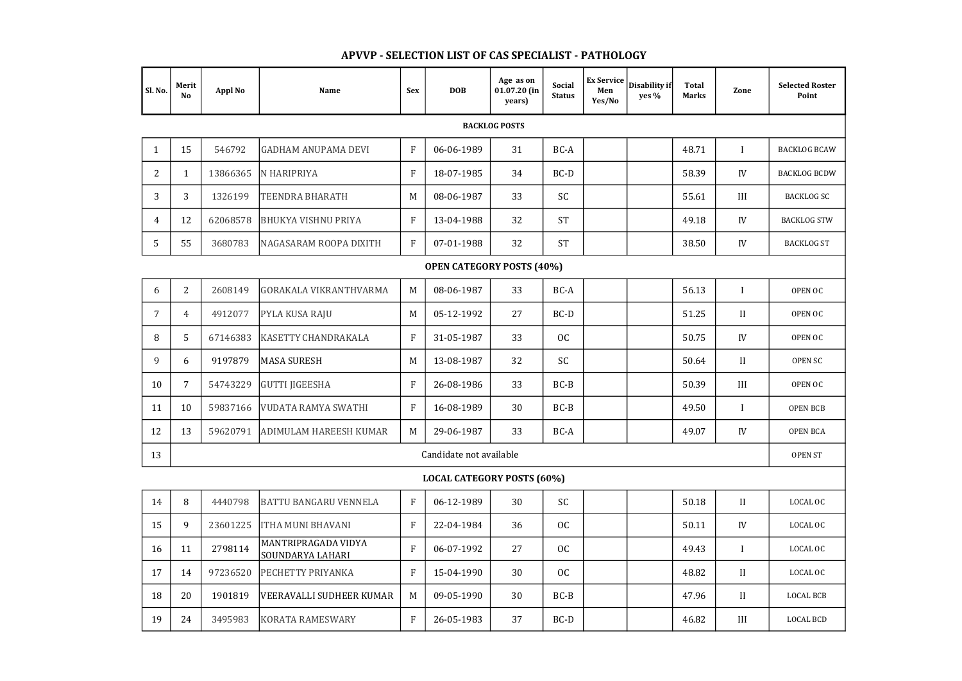| Sl. No.                           | Merit<br><b>No</b>      | <b>Appl No</b> | <b>Name</b>                             | <b>Sex</b>                | <b>DOB</b> | Age as on<br>$01.07.20$ (in<br>years) | <b>Social</b><br><b>Status</b> | <b>Ex Service</b><br>Men<br>Yes/No | Disability if<br>yes % | <b>Total</b><br><b>Marks</b> | Zone           | <b>Selected Roster</b><br>Point |
|-----------------------------------|-------------------------|----------------|-----------------------------------------|---------------------------|------------|---------------------------------------|--------------------------------|------------------------------------|------------------------|------------------------------|----------------|---------------------------------|
| <b>BACKLOG POSTS</b>              |                         |                |                                         |                           |            |                                       |                                |                                    |                        |                              |                |                                 |
| $\mathbf{1}$                      | 15                      | 546792         | <b>GADHAM ANUPAMA DEVI</b>              | $\mathbf{F}$              | 06-06-1989 | 31                                    | BC-A                           |                                    |                        | 48.71                        | $\mathbf{I}$   | <b>BACKLOG BCAW</b>             |
| $\overline{2}$                    | 1                       | 13866365       | N HARIPRIYA                             | $\boldsymbol{\mathrm{F}}$ | 18-07-1985 | 34                                    | BC-D                           |                                    |                        | 58.39                        | IV             | <b>BACKLOG BCDW</b>             |
| 3                                 | 3                       | 1326199        | <b>TEENDRA BHARATH</b>                  | M                         | 08-06-1987 | 33                                    | <b>SC</b>                      |                                    |                        | 55.61                        | III            | <b>BACKLOG SC</b>               |
| $\overline{4}$                    | 12                      | 62068578       | <b>BHUKYA VISHNU PRIYA</b>              | $\mathbf{F}$              | 13-04-1988 | 32                                    | <b>ST</b>                      |                                    |                        | 49.18                        | IV             | <b>BACKLOG STW</b>              |
| 5                                 | 55                      | 3680783        | NAGASARAM ROOPA DIXITH                  | $\mathbf{F}$              | 07-01-1988 | 32                                    | <b>ST</b>                      |                                    |                        | 38.50                        | IV             | <b>BACKLOG ST</b>               |
| <b>OPEN CATEGORY POSTS (40%)</b>  |                         |                |                                         |                           |            |                                       |                                |                                    |                        |                              |                |                                 |
| 6                                 | $\overline{2}$          | 2608149        | <b>GORAKALA VIKRANTHVARMA</b>           | M                         | 08-06-1987 | 33                                    | BC-A                           |                                    |                        | 56.13                        | I              | OPEN OC                         |
| $\overline{7}$                    | 4                       | 4912077        | <b>PYLA KUSA RAJU</b>                   | M                         | 05-12-1992 | 27                                    | $BC-D$                         |                                    |                        | 51.25                        | $\mathbf{I}$   | OPEN OC                         |
| 8                                 | 5                       | 67146383       | KASETTY CHANDRAKALA                     | $\mathbf{F}$              | 31-05-1987 | 33                                    | OC                             |                                    |                        | 50.75                        | IV             | OPEN OC                         |
| 9                                 | 6                       | 9197879        | <b>MASA SURESH</b>                      | M                         | 13-08-1987 | 32                                    | <b>SC</b>                      |                                    |                        | 50.64                        | $\mathbf{I}$   | OPEN SC                         |
| 10                                | $\overline{7}$          | 54743229       | <b>GUTTI JIGEESHA</b>                   | $\mathbf{F}$              | 26-08-1986 | 33                                    | $BC-B$                         |                                    |                        | 50.39                        | III            | OPEN OC                         |
| 11                                | 10                      | 59837166       | VUDATA RAMYA SWATHI                     | $\mathbf{F}$              | 16-08-1989 | 30                                    | $BC-B$                         |                                    |                        | 49.50                        | I              | <b>OPEN BCB</b>                 |
| 12                                | 13                      | 59620791       | <b>ADIMULAM HAREESH KUMAR</b>           | M                         | 29-06-1987 | 33                                    | BC-A                           |                                    |                        | 49.07                        | IV             | <b>OPEN BCA</b>                 |
| 13                                | Candidate not available |                |                                         |                           |            |                                       |                                |                                    |                        |                              | <b>OPEN ST</b> |                                 |
| <b>LOCAL CATEGORY POSTS (60%)</b> |                         |                |                                         |                           |            |                                       |                                |                                    |                        |                              |                |                                 |
| 14                                | 8                       | 4440798        | <b>BATTU BANGARU VENNELA</b>            | $\mathbf{F}$              | 06-12-1989 | 30                                    | SC                             |                                    |                        | 50.18                        | $\mathbf{I}$   | LOCAL OC                        |
| 15                                | 9                       | 23601225       | <b>ITHA MUNI BHAVANI</b>                | $\mathbf F$               | 22-04-1984 | 36                                    | OC                             |                                    |                        | 50.11                        | IV             | LOCAL OC                        |
| 16                                | 11                      | 2798114        | MANTRIPRAGADA VIDYA<br>SOUNDARYA LAHARI | $\mathbf{F}$              | 06-07-1992 | 27                                    | OC                             |                                    |                        | 49.43                        | $\mathbf{I}$   | LOCAL OC                        |
| 17                                | 14                      | 97236520       | PECHETTY PRIYANKA                       | ${\bf F}$                 | 15-04-1990 | 30                                    | OC                             |                                    |                        | 48.82                        | $\mathbf{I}$   | LOCAL OC                        |
| 18                                | 20                      | 1901819        | VEERAVALLI SUDHEER KUMAR                | M                         | 09-05-1990 | 30                                    | $BC-B$                         |                                    |                        | 47.96                        | $\mathbf{I}$   | <b>LOCAL BCB</b>                |
| 19                                | 24                      | 3495983        | KORATA RAMESWARY                        | ${\bf F}$                 | 26-05-1983 | 37                                    | BC-D                           |                                    |                        | 46.82                        | III            | <b>LOCAL BCD</b>                |

## APVVP - SELECTION LIST OF CAS SPECIALIST - PATHOLOGY